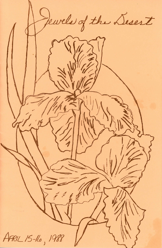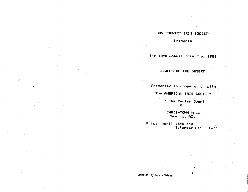# SUN COUNTRY IRIS SOCIETY

Presents

the 18th Annual Iris Show 1988

## JEWELS OF THE DESERT

Presented in cooperation with

The AMERICAN IRIS SOCIETY

in *the Center* Court of

CHRIS-TOWN MALL Phoenix, AZ.

Friday April 15th and Saturday April 16th

Caver Art *by* Carole Spiess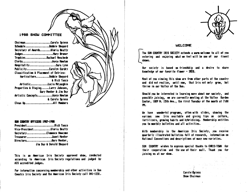### **1988 SHOW COMMITTEE**

| ChairmanCarole Spiess                             |                         |
|---------------------------------------------------|-------------------------|
| ScheduleBobbie Shepard                            |                         |
| Secretary of AwardsGloria Beatty                  |                         |
| JudgesNary Bruner                                 |                         |
| TrophiesRachael Meschede                          |                         |
| ClerksJoyce Newton                                |                         |
| HospitalitySara Lynn                              |                         |
| PublicityCarolyn Cordry                           |                         |
| <b>Classification &amp; Placement of Entries:</b> |                         |
| HorticultureBobbie Shepard                        |                         |
|                                                   | <b>&amp; Rick Tasco</b> |
| ArtisticLucia McLaughin                           |                         |
| Properties & StagingLarry Johnsen,                |                         |
|                                                   | Gary Meeker & Jim Day   |
| Artistic ConceptsJoyce Newton                     |                         |
|                                                   | & Carole Spiess         |
| Clean UpAll Members                               |                         |
|                                                   |                         |

#### SUN COUNTRY OFFICERS 1987-1988

| PresidentRick Tasco         |
|-----------------------------|
| Vice-PresidentBloria Beatty |
| SecretaryClemence Newcome   |
| TreasurerJanet Meeker       |
| DirectorsGary Meeker,       |
| Jim Day & Dorald Shepard    |

This is an American Iris Society approved show, conducted according to American Iris Society regulations and judged by AIS accredited judges.

For information concerning membership and other activities in Sun Country Iris Society and the American Iris Society call 841-1231.



## **WELCOME**

The SUN COUNTRY IRIS SOCIETY extends a warm welcome to all of you entering and enjoying what we feel will be one of our finest shows.

Our society is based on friendship and a desire to share knowledge of our favorite flower - IRIS.

Most of you viewing this show are from other parts of the country and did not realize, until now, that Iris not only grow, but thrive in our Valley of the Sun.

Should you be interested in learning more about our society, and possibly joining, we are currently meeting at the Valley Sarden Center, 1809 N. 15th Ave., the first Tuesday of the month at 7:00 m.

We have wonderful proorans, often with slides, showing the various new Iris available and giving tips on culture, fertilizers, growing habits and hybridizing. Membership entitles you to monthly bulletins and all activities.

With membership in the American Iris Society, you receive quarterly illustrated bulletins full of research, information on National Conventions and descriptions of many new varieties.

SUN COUNTRY wishes to express special thanks to CHRIS-TOWN for their cooperation and the use of their mall. Thank you for joining us at our show.

> Carole Soiess Show Chairman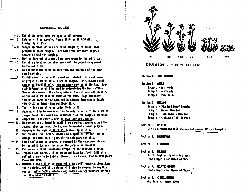## GENERAL RULES

- $\rightarrow$  1. Exhibition privileges are goen to all persons.
- -2. Entries will be accepted from 6:30 AM until 9:30 AM Friday, April 15th.
- $\leq$  3. Single-specimen entries are to be staged by cultivar, then oroused in color ranges. Each named variety constitutes a separate class for judging.
- -4. Horticulture exhibits must have been orown by the exhibitor.
- $\sim$  5. Exhibits placed on the show bench will be judged as groomed by the exhibitor.
- 6. An exhibitor may enter no more than one specimen of the same named variety.
- ... 7. Exhibits must be correctly named and labeled. Iris not named or properly identified will not be judged. Entry numbers will appear on TAG-STUB only, not on upper portion of the tag. Tagstub information will be used in determining the Horticulture Sweepstakes winner: therefore, name of the cultivar and identity of the exhibitor must be shown on the stub. Taos and entry tabulation forms may be obtained in advance from Gloria Beatty (846-0412) or Bobbie Shepard (841-1231).
	- 8. Youth See special rules under Division III.
- $\sim$  9. Judging will be by American Iris Society rules, with decisions of judges final. Any award may be withheld at the judges discretion.
- 10. Judges will not enter a section that they are judging.
- 11. No persons are allowed in exhibit area during judging except the judges, show chairman, clerks, and designated student judges.
	- 12. Judging is to begin at 10:30 AM. Friday, April 15th.
	- 13. Sun Country Iris Society assumes no responsibility for loss or damage, but will do all possible to safeguard exhibits.
	- $\sim$  14. Faded stalks may be groomed or removed by the show committee or by the exhibitor any time after the judging is finished.
	- $\rightarrow$  15. Containers will be furnished, except for the artistic classes.
		- 16. Trophies and awards will be presented Saturday, April 16th at a potluck dinner to be held at Shepard Iris Garden, 3342 W. Orangewood Phone 841-1231.
		- 17. Between 5 and 5:30 on Saturday exhibitors will remove ribbons from their entries. Artistic entries will also be removed during this period. After 5:30 exhibitors may remove any horticulture entries that they wish to retain.



DIVISION I - HORTICULTURE

## Section A. TALL BEARDED

Section B. ARILS Group a - Aril-Meds Broup b - Arilbreds Group c - Pure Arils

## Section C. MEDIANS

Group a - Standard Dwarf Bearded Group b - Border Bearded Groum c - Intermediate Bearded Group d - Miniature Tall Bearded

## Section D. SPIRIAS

(It is recommended that spurias not exceed 48° cut height.)

Section E. LOUISIANAS

Section F. SIDERIANS

Section 6. DUR. 2005 Dutch, English, Spanish & others (Not eligible for Queen of Show)

Section H. RELATED GENERA (Not eligible for Queen of Show)

Section I. MISCELLANEDUS Any iris not named above.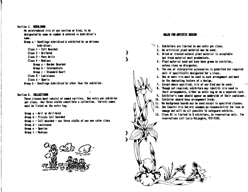#### Section J. SEEDLINGS

An unintroduced iris of any section or kind, to be designated by name or number & entered in hybridizer's name.

Group a - Seedlings hybridized & exhibited by an Arizona hybridizer.

Class 1 - Tall Bearded

- $$
- Class 3 Pure Arils
- Class 4 Medians
	- Group a Border Bearded
	- Group b Intermediate

Group c - Standard Dwarf

Class 5 - Louisianas

Class 6 - Souria

Sroup b - Seedlings hybridized by other than the exhibitor.

Section K. COLLECTIONS

These classes must consist of named varities. One entry per exhibitor per class. Any three stalks constitute a collection. Variety names must be listed on the entry tag.

| Group $a - Ari1$ or $Ar1$ -bred                                  |                               | and the state of the |  |  |
|------------------------------------------------------------------|-------------------------------|----------------------|--|--|
| Group b - Plicata tall bearded                                   | the control of the control of |                      |  |  |
| Group c - Tall bearded - any three stalks of any one color class |                               |                      |  |  |
| Group d - Louisianas                                             |                               |                      |  |  |
| Group e - Spurias                                                |                               |                      |  |  |
| Group $f - Medians$                                              |                               |                      |  |  |



#### **RILES FOR ARTISTIC DESIGN**

Þ

Ì

1. Exhibitors are limited to one entry per class.

2. No artificial plant material may be used.

3. Dried or treated natural plant material is acceptable but fresh material must predominate.

- 4. Plant material need not have been grown by exhibitor. unless class so disionates.
- 5. The use of interpretive accessories is permitted but required only if specifically designated for a class.
- 6. One or more iris must be used in each arrangement and must be the dominating feature of a desion.
- 7. Except where specified, iris of any kind may be used.

8. Though not required, exhibitors may identify iris used in their arrangements, either on entry tag or on a separate card. 9. Exhibitor's name should appear on underside of their container.

10. Exhibitor should keep arrangement fresh.

11. No background boards may be used except in specified classes.

12. Sun Country Iris Society assumes no responsibility for loss or damage but will do all possible to safeguard exhibits.

13. Class #1 is limited to 8 exhibitors, by reservation only. For reservations call Lucia McLaughin, 972-9105.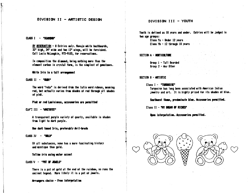## DIVISION II - ARTISTIC DESIGN

### CLASS 1 - "DIAMOND"

BY RESERVATION - 8 Entries only. Navaio white backboards. 32" high, 24" wide and two 12" wings, will be furnished. Call Lucia McLaughin, 972-9105, for reservations.

In composition the diamond, being nothing more than the element carbon in crystal form, is the simplest of genstones.

White Iris in a tall arrangement

#### CLASS II - "RUBY"

The word "ruby" is derived from the latin word rubeus, meaning red, but actually varies from shades of red through all shades of pink.

Piak or red Louisianas, accessories are permitted

### CLA": 111 - "AMETHYST"

A transparent purple variety of quartz, available in shades from light to dark purple.

Use dark toned Iris, preferably Aril-breds

#### $CLASS$   $10 - PCDP$

Of all substances, none has a more fascinating history and mystique than gold.

Yellow iris using water accent

#### $CIASS$   $U - PAT$  of Jeifish

There is a pot of gold at the end of the rainbow, so runs the ancient legend. More likely it is a pot of jewels.

Arrangers choice - Free interpetation

## DIVISION III - YOUTH

Youth is defined as 18 years and under. Entries will be judged in two age groups:

> Class Ya - Under 12 years Class  $Yb - 12$  through 18 years

SECTION A - HORTICLE TURE

Group 1 - Tall Bearded Group 2 - Any Other

### SECTION B - ARTISTIC

Class I - "THRONDISE" Turguoise has long been associated with American Indian jewelry and art. It is highly prized for its shades of blue.

Southwest theme, predominate blue. Accessories permitted.

Class II - THY DEEAN OF RICHES!

Open interpetation. Accessories permitted.



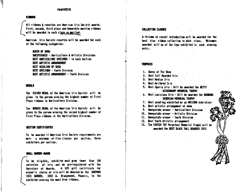### **ALIARDS**

### **RIBBONS**

All ribbons & rosettes are American Iris Society awards. First, second, third place and honorable mention ribbons will be awarded in each class as menited.

American lris Society rosettes will be awarded for each of the following categories:

**QUEEN OF SHOW** SMEEPSTAKES - Horticulture & Artistic Divisions BEST HORTICULTURE SPECIMEN - in each Section BEST ARTISTIC ARRANGEMENT **BEST SEEDLING OF SHOW** REST SPECIMEN - Youth Division BEST ARTISTIC ARRANGEMENT - Youth Division

#### **NEDALS**

The SILVER MEDAL of the American Iris Society will be given to the person winning the highest number of First Place ribbons in Horticulture Division.

The BRONZE MEDAL of the American Iris Society will be given to the person winning the second highest number of First Place cibbons in the Horticulture Division.

#### SECTION CERTIFICATES

To be awarded if American Iris Society requirements are met: a minimum of five-classes per section, three exhibitors per section.

### SWILL GARDEN ALARD

To be eligible, exhibitor must grow fewer than 100 varieties of iris and be pre-reqistered with the Secretary of Awards. A \$25 gift certificate for winner's choice of iris will be donated by the SHEPARD IRIS GARDEN. 3342 W. Orangewood, Phoenix, to the exhibitor winning the most blue ribbons.

### **COLLECTION CLASSES**

A chizone of recent introduction will be awarded for the best blue ribbon collection in each class. Rhizomes awarded will be of the type exhibited in each winning entry.

#### **TROPHIES**

- 1. Queen of The Show
- 2. Best Tall Bearded Iris
- 3. Best Median Iris
- 4. Best Arilbred Iris
- 5. Best Spuria Iris Will be awarded the BETTY UICKENKAMP MEMORIAL TROPHY
- 6. Best Louisiana Iris Will be awarded the BARBARA DERENIAH MEMORIAL TROPHY
- 7. Best seedling exhibited by an ARIZONA hybridizer
- 8. Best artistic arranoement of show
- 9. Sweepstake winner Horticulture Division
- 10. Sweepstake winner Artistic Division
- 11. Sweepstake winner Youth Division
- 12. Best Youth Artistic arrangement
- 13. The FOSTER TRY Perpetual Memorial Trophy will be awarded the BEST BLACK TALL BEARDED IRIS